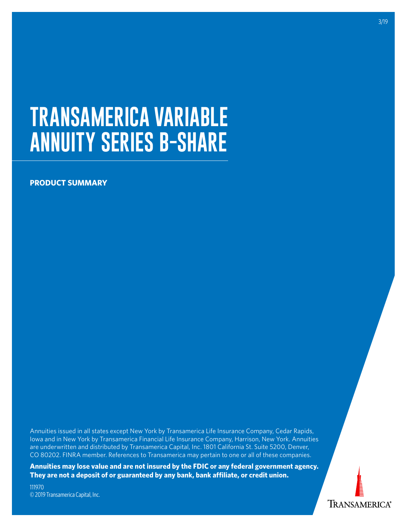# **TRANSAMERICA VARIABLE ANNUITY SERIES B-SHARE**

# **PRODUCT SUMMARY**

Annuities issued in all states except New York by Transamerica Life Insurance Company, Cedar Rapids, Iowa and in New York by Transamerica Financial Life Insurance Company, Harrison, New York. Annuities are underwritten and distributed by Transamerica Capital, Inc. 1801 California St. Suite 5200, Denver, CO 80202. FINRA member. References to Transamerica may pertain to one or all of these companies.

**Annuities may lose value and are not insured by the FDIC or any federal government agency. They are not a deposit of or guaranteed by any bank, bank affiliate, or credit union.**

111970 © 2019 Transamerica Capital, Inc. 3/19

**TRANSAMERICA®**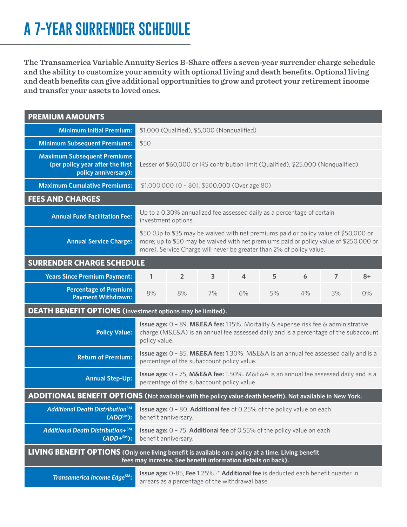# **A 7-YEAR SURRENDER SCHEDULE**

**The Transamerica Variable Annuity Series B-Share offers a seven-year surrender charge schedule and the ability to customize your annuity with optional living and death benefits. Optional living and death benefits can give additional opportunities to grow and protect your retirement income and transfer your assets to loved ones.**

| <b>PREMIUM AMOUNTS</b>                                                                                                                                                    |                                                                                                                                                                                                                                                       |                |    |                                                                                                                                                  |    |    |                |      |
|---------------------------------------------------------------------------------------------------------------------------------------------------------------------------|-------------------------------------------------------------------------------------------------------------------------------------------------------------------------------------------------------------------------------------------------------|----------------|----|--------------------------------------------------------------------------------------------------------------------------------------------------|----|----|----------------|------|
| <b>Minimum Initial Premium:</b>                                                                                                                                           | \$1,000 (Qualified), \$5,000 (Nonqualified)                                                                                                                                                                                                           |                |    |                                                                                                                                                  |    |    |                |      |
| <b>Minimum Subsequent Premiums:</b>                                                                                                                                       | \$50                                                                                                                                                                                                                                                  |                |    |                                                                                                                                                  |    |    |                |      |
| <b>Maximum Subsequent Premiums</b><br>(per policy year after the first<br>policy anniversary):                                                                            | Lesser of \$60,000 or IRS contribution limit (Qualified), \$25,000 (Nonqualified).                                                                                                                                                                    |                |    |                                                                                                                                                  |    |    |                |      |
| <b>Maximum Cumulative Premiums:</b>                                                                                                                                       | $$1,000,000$ (0 - 80), \$500,000 (Over age 80)                                                                                                                                                                                                        |                |    |                                                                                                                                                  |    |    |                |      |
| <b>FEES AND CHARGES</b>                                                                                                                                                   |                                                                                                                                                                                                                                                       |                |    |                                                                                                                                                  |    |    |                |      |
| <b>Annual Fund Facilitation Fee:</b>                                                                                                                                      | Up to a 0.30% annualized fee assessed daily as a percentage of certain<br>investment options.                                                                                                                                                         |                |    |                                                                                                                                                  |    |    |                |      |
| <b>Annual Service Charge:</b>                                                                                                                                             | \$50 (Up to \$35 may be waived with net premiums paid or policy value of \$50,000 or<br>more; up to \$50 may be waived with net premiums paid or policy value of \$250,000 or<br>more). Service Charge will never be greater than 2% of policy value. |                |    |                                                                                                                                                  |    |    |                |      |
| <b>SURRENDER CHARGE SCHEDULE</b>                                                                                                                                          |                                                                                                                                                                                                                                                       |                |    |                                                                                                                                                  |    |    |                |      |
| <b>Years Since Premium Payment:</b>                                                                                                                                       | 1                                                                                                                                                                                                                                                     | $\overline{2}$ | 3  | 4                                                                                                                                                | 5  | 6  | $\overline{7}$ | $8+$ |
| <b>Percentage of Premium</b><br><b>Payment Withdrawn:</b>                                                                                                                 | 8%                                                                                                                                                                                                                                                    | 8%             | 7% | 6%                                                                                                                                               | 5% | 4% | 3%             | 0%   |
| <b>DEATH BENEFIT OPTIONS</b> (Investment options may be limited).                                                                                                         |                                                                                                                                                                                                                                                       |                |    |                                                                                                                                                  |    |    |                |      |
| <b>Policy Value:</b>                                                                                                                                                      | <b>Issue age:</b> $0 - 89$ , M&E&A fee: 1.15%. Mortality & expense risk fee & administrative<br>charge (M&E&A) is an annual fee assessed daily and is a percentage of the subaccount<br>policy value.                                                 |                |    |                                                                                                                                                  |    |    |                |      |
| <b>Return of Premium:</b>                                                                                                                                                 | <b>Issue age:</b> 0 - 85, M&E&A fee: 1.30%. M&E&A is an annual fee assessed daily and is a<br>percentage of the subaccount policy value.                                                                                                              |                |    |                                                                                                                                                  |    |    |                |      |
| <b>Annual Step-Up:</b>                                                                                                                                                    | <b>Issue age:</b> 0 - 75, M&E&A fee: 1.50%. M&E&A is an annual fee assessed daily and is a<br>percentage of the subaccount policy value.                                                                                                              |                |    |                                                                                                                                                  |    |    |                |      |
| ADDITIONAL BENEFIT OPTIONS (Not available with the policy value death benefit). Not available in New York.                                                                |                                                                                                                                                                                                                                                       |                |    |                                                                                                                                                  |    |    |                |      |
| <b>Additional Death Distribution<sup>SM</sup></b><br>$(ADDSM)$ :                                                                                                          | <b>Issue age:</b> 0 - 80. Additional fee of 0.25% of the policy value on each<br>benefit anniversary.                                                                                                                                                 |                |    |                                                                                                                                                  |    |    |                |      |
| Additional Death Distribution+SM<br>$(ADD+SM)$ :                                                                                                                          | <b>Issue age:</b> 0 - 75. Additional fee of 0.55% of the policy value on each<br>benefit anniversary.                                                                                                                                                 |                |    |                                                                                                                                                  |    |    |                |      |
| <b>LIVING BENEFIT OPTIONS</b> (Only one living benefit is available on a policy at a time. Living benefit<br>fees may increase. See benefit information details on back). |                                                                                                                                                                                                                                                       |                |    |                                                                                                                                                  |    |    |                |      |
| Transamerica Income Edge <sup>SM</sup> :                                                                                                                                  |                                                                                                                                                                                                                                                       |                |    | Issue age: 0-85, Fee 1.25%. <sup>1,*</sup> Additional fee is deducted each benefit quarter in<br>arrears as a percentage of the withdrawal base. |    |    |                |      |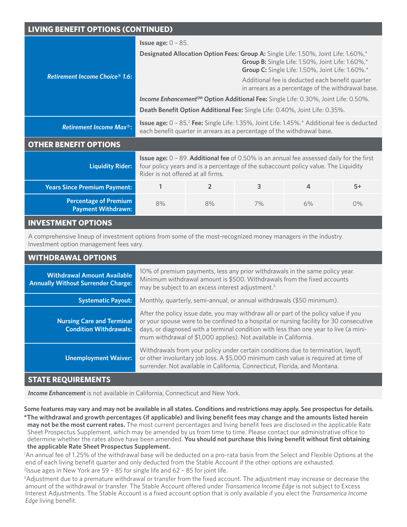# **LIVING BENEFIT OPTIONS (CONTINUED)**

|                                                           | <b>Issue age: <math>0 - 85</math>.</b>                                                                                                                                                                                              |                |    |    |      |  |  |  |
|-----------------------------------------------------------|-------------------------------------------------------------------------------------------------------------------------------------------------------------------------------------------------------------------------------------|----------------|----|----|------|--|--|--|
| <b>Retirement Income Choice® 1.6:</b>                     | Designated Allocation Option Fees: Group A: Single Life: 1.50%, Joint Life: 1.60%,*<br>Group B: Single Life: 1.50%, Joint Life: 1.60%,*<br>Group C: Single Life: 1.50%, Joint Life: 1.60%.*                                         |                |    |    |      |  |  |  |
|                                                           | Additional fee is deducted each benefit quarter<br>in arrears as a percentage of the withdrawal base.                                                                                                                               |                |    |    |      |  |  |  |
|                                                           | <b>Income Enhancement<sup>SM</sup> Option Additional Fee:</b> Single Life: 0.30%, Joint Life: 0.50%.                                                                                                                                |                |    |    |      |  |  |  |
|                                                           | Death Benefit Option Additional Fee: Single Life: 0.40%, Joint Life: 0.35%.                                                                                                                                                         |                |    |    |      |  |  |  |
| <b>Retirement Income Max<sup>®</sup>:</b>                 | <b>Issue age:</b> $0 - 85$ , Fee: Single Life: 1.35%, Joint Life: 1.45%.* Additional fee is deducted<br>each benefit quarter in arrears as a percentage of the withdrawal base.                                                     |                |    |    |      |  |  |  |
| <b>OTHER BENEFIT OPTIONS</b>                              |                                                                                                                                                                                                                                     |                |    |    |      |  |  |  |
| <b>Liquidity Rider:</b>                                   | <b>Issue age:</b> 0 - 89. <b>Additional fee</b> of 0.50% is an annual fee assessed daily for the first<br>four policy years and is a percentage of the subaccount policy value. The Liquidity<br>Rider is not offered at all firms. |                |    |    |      |  |  |  |
| <b>Years Since Premium Payment:</b>                       |                                                                                                                                                                                                                                     | $\overline{2}$ | 3  | 4  | $5+$ |  |  |  |
| <b>Percentage of Premium</b><br><b>Payment Withdrawn:</b> | 8%                                                                                                                                                                                                                                  | 8%             | 7% | 6% | 0%   |  |  |  |
| <b>INVESTMENT OPTIONS</b>                                 |                                                                                                                                                                                                                                     |                |    |    |      |  |  |  |

A comprehensive lineup of investment options from some of the most-recognized money managers in the industry. Investment option management fees vary.

| <b>WITHDRAWAL OPTIONS</b>                                                       |                                                                                                                                                                                                                                                                                                                                              |  |  |  |
|---------------------------------------------------------------------------------|----------------------------------------------------------------------------------------------------------------------------------------------------------------------------------------------------------------------------------------------------------------------------------------------------------------------------------------------|--|--|--|
| <b>Withdrawal Amount Available</b><br><b>Annually Without Surrender Charge:</b> | 10% of premium payments, less any prior withdrawals in the same policy year.<br>Minimum withdrawal amount is \$500. Withdrawals from the fixed accounts<br>may be subject to an excess interest adjustment. <sup>3</sup>                                                                                                                     |  |  |  |
| <b>Systematic Payout:</b>                                                       | Monthly, quarterly, semi-annual, or annual withdrawals (\$50 minimum).                                                                                                                                                                                                                                                                       |  |  |  |
| <b>Nursing Care and Terminal</b><br><b>Condition Withdrawals:</b>               | After the policy issue date, you may withdraw all or part of the policy value if you<br>or your spouse were to be confined to a hospital or nursing facility for 30 consecutive<br>days, or diagnosed with a terminal condition with less than one year to live (a mini-<br>mum withdrawal of \$1,000 applies). Not available in California. |  |  |  |
| <b>Unemployment Waiver:</b>                                                     | Withdrawals from your policy under certain conditions due to termination, layoff,<br>or other involuntary job loss. A \$5,000 minimum cash value is required at time of<br>surrender. Not available in California, Connecticut, Florida, and Montana.                                                                                        |  |  |  |

# **STATE REQUIREMENTS**

*Income Enhancement* is not available in California, Connecticut and New York.

**Some features may vary and may not be available in all states. Conditions and restrictions may apply. See prospectus for details. \*The withdrawal and growth percentages (if applicable) and living benefit fees may change and the amounts listed herein may not be the most current rates.** The most current percentages and living benefit fees are disclosed in the applicable Rate Sheet Prospectus Supplement, which may be amended by us from time to time. Please contact our administrative office to determine whether the rates above have been amended. **You should not purchase this living benefit without first obtaining the applicable Rate Sheet Prospectus Supplement.** 

1 An annual fee of 1.25% of the withdrawal base will be deducted on a pro-rata basis from the Select and Flexible Options at the end of each living benefit quarter and only deducted from the Stable Account if the other options are exhausted. 2 Issue ages in New York are 59 – 85 for single life and 62 – 85 for joint life.

3 Adjustment due to a premature withdrawal or transfer from the fixed account. The adjustment may increase or decrease the amount of the withdrawal or transfer. The Stable Account offered under *Transamerica Income Edge* is not subject to Excess Interest Adjustments. The Stable Account is a fixed account option that is only available if you elect the *Transamerica Income Edge* living benefit.